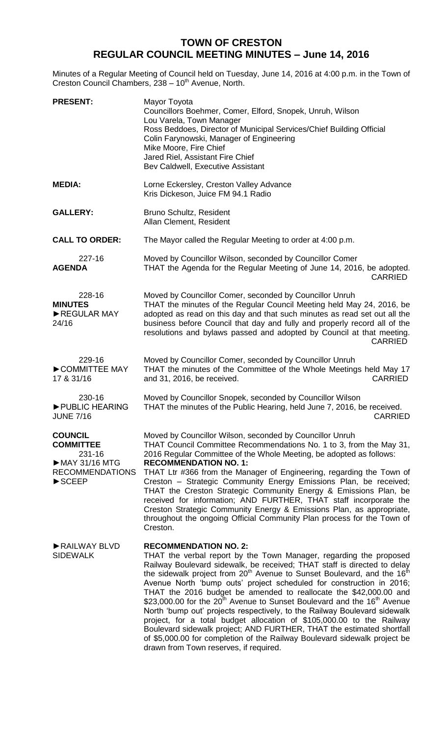## **TOWN OF CRESTON REGULAR COUNCIL MEETING MINUTES – June 14, 2016**

Minutes of a Regular Meeting of Council held on Tuesday, June 14, 2016 at 4:00 p.m. in the Town of Creston Council Chambers, 238 - 10<sup>th</sup> Avenue, North.

| <b>PRESENT:</b>                                                                                                                         | Mayor Toyota<br>Councillors Boehmer, Comer, Elford, Snopek, Unruh, Wilson<br>Lou Varela, Town Manager<br>Ross Beddoes, Director of Municipal Services/Chief Building Official<br>Colin Farynowski, Manager of Engineering<br>Mike Moore, Fire Chief<br>Jared Riel, Assistant Fire Chief<br>Bev Caldwell, Executive Assistant                                                                                                                                                                                                                                                                                                                                                                                                                                                                                                                                                            |
|-----------------------------------------------------------------------------------------------------------------------------------------|-----------------------------------------------------------------------------------------------------------------------------------------------------------------------------------------------------------------------------------------------------------------------------------------------------------------------------------------------------------------------------------------------------------------------------------------------------------------------------------------------------------------------------------------------------------------------------------------------------------------------------------------------------------------------------------------------------------------------------------------------------------------------------------------------------------------------------------------------------------------------------------------|
| <b>MEDIA:</b>                                                                                                                           | Lorne Eckersley, Creston Valley Advance<br>Kris Dickeson, Juice FM 94.1 Radio                                                                                                                                                                                                                                                                                                                                                                                                                                                                                                                                                                                                                                                                                                                                                                                                           |
| <b>GALLERY:</b>                                                                                                                         | Bruno Schultz, Resident<br>Allan Clement, Resident                                                                                                                                                                                                                                                                                                                                                                                                                                                                                                                                                                                                                                                                                                                                                                                                                                      |
| <b>CALL TO ORDER:</b>                                                                                                                   | The Mayor called the Regular Meeting to order at 4:00 p.m.                                                                                                                                                                                                                                                                                                                                                                                                                                                                                                                                                                                                                                                                                                                                                                                                                              |
| 227-16<br><b>AGENDA</b>                                                                                                                 | Moved by Councillor Wilson, seconded by Councillor Comer<br>THAT the Agenda for the Regular Meeting of June 14, 2016, be adopted.<br><b>CARRIED</b>                                                                                                                                                                                                                                                                                                                                                                                                                                                                                                                                                                                                                                                                                                                                     |
| 228-16<br><b>MINUTES</b><br>REGULAR MAY<br>24/16                                                                                        | Moved by Councillor Comer, seconded by Councillor Unruh<br>THAT the minutes of the Regular Council Meeting held May 24, 2016, be<br>adopted as read on this day and that such minutes as read set out all the<br>business before Council that day and fully and properly record all of the<br>resolutions and bylaws passed and adopted by Council at that meeting.<br><b>CARRIED</b>                                                                                                                                                                                                                                                                                                                                                                                                                                                                                                   |
| 229-16<br>COMMITTEE MAY<br>17 & 31/16                                                                                                   | Moved by Councillor Comer, seconded by Councillor Unruh<br>THAT the minutes of the Committee of the Whole Meetings held May 17<br><b>CARRIED</b><br>and 31, 2016, be received.                                                                                                                                                                                                                                                                                                                                                                                                                                                                                                                                                                                                                                                                                                          |
| 230-16<br>PUBLIC HEARING<br><b>JUNE 7/16</b>                                                                                            | Moved by Councillor Snopek, seconded by Councillor Wilson<br>THAT the minutes of the Public Hearing, held June 7, 2016, be received.<br><b>CARRIED</b>                                                                                                                                                                                                                                                                                                                                                                                                                                                                                                                                                                                                                                                                                                                                  |
| <b>COUNCIL</b><br><b>COMMITTEE</b><br>231-16<br>$\triangleright$ MAY 31/16 MTG<br><b>RECOMMENDATIONS</b><br>$\blacktriangleright$ SCEEP | Moved by Councillor Wilson, seconded by Councillor Unruh<br>THAT Council Committee Recommendations No. 1 to 3, from the May 31,<br>2016 Regular Committee of the Whole Meeting, be adopted as follows:<br><b>RECOMMENDATION NO. 1:</b><br>THAT Ltr #366 from the Manager of Engineering, regarding the Town of<br>Creston - Strategic Community Energy Emissions Plan, be received;<br>THAT the Creston Strategic Community Energy & Emissions Plan, be<br>received for information; AND FURTHER, THAT staff incorporate the<br>Creston Strategic Community Energy & Emissions Plan, as appropriate,<br>throughout the ongoing Official Community Plan process for the Town of<br>Creston.                                                                                                                                                                                              |
| RAILWAY BLVD<br><b>SIDEWALK</b>                                                                                                         | <b>RECOMMENDATION NO. 2:</b><br>THAT the verbal report by the Town Manager, regarding the proposed<br>Railway Boulevard sidewalk, be received; THAT staff is directed to delay<br>the sidewalk project from 20 <sup>th</sup> Avenue to Sunset Boulevard, and the 16 <sup>th</sup><br>Avenue North 'bump outs' project scheduled for construction in 2016;<br>THAT the 2016 budget be amended to reallocate the \$42,000.00 and<br>\$23,000.00 for the 20 <sup>th</sup> Avenue to Sunset Boulevard and the 16 <sup>th</sup> Avenue<br>North 'bump out' projects respectively, to the Railway Boulevard sidewalk<br>project, for a total budget allocation of \$105,000.00 to the Railway<br>Boulevard sidewalk project; AND FURTHER, THAT the estimated shortfall<br>of \$5,000.00 for completion of the Railway Boulevard sidewalk project be<br>drawn from Town reserves, if required. |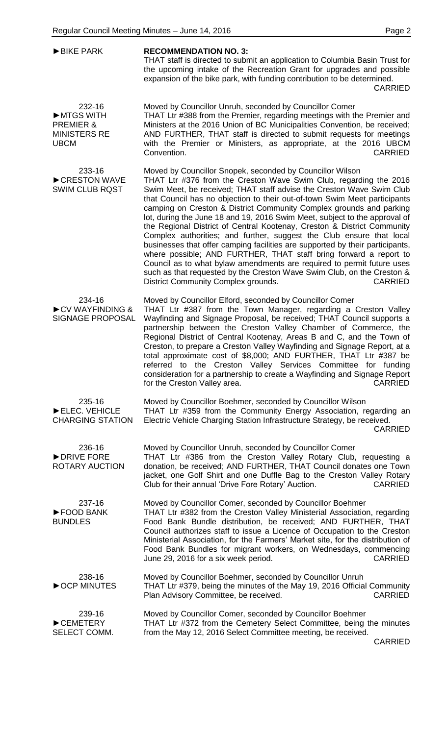| <b>BIKE PARK</b>                                                                  | <b>RECOMMENDATION NO. 3:</b><br>THAT staff is directed to submit an application to Columbia Basin Trust for<br>the upcoming intake of the Recreation Grant for upgrades and possible<br>expansion of the bike park, with funding contribution to be determined.<br><b>CARRIED</b>                                                                                                                                                                                                                                                                                                                                                                                                                                                                                                                                                                                                                                                                              |
|-----------------------------------------------------------------------------------|----------------------------------------------------------------------------------------------------------------------------------------------------------------------------------------------------------------------------------------------------------------------------------------------------------------------------------------------------------------------------------------------------------------------------------------------------------------------------------------------------------------------------------------------------------------------------------------------------------------------------------------------------------------------------------------------------------------------------------------------------------------------------------------------------------------------------------------------------------------------------------------------------------------------------------------------------------------|
| 232-16<br>MTGS WITH<br><b>PREMIER &amp;</b><br><b>MINISTERS RE</b><br><b>UBCM</b> | Moved by Councillor Unruh, seconded by Councillor Comer<br>THAT Ltr #388 from the Premier, regarding meetings with the Premier and<br>Ministers at the 2016 Union of BC Municipalities Convention, be received;<br>AND FURTHER, THAT staff is directed to submit requests for meetings<br>with the Premier or Ministers, as appropriate, at the 2016 UBCM<br><b>CARRIED</b><br>Convention.                                                                                                                                                                                                                                                                                                                                                                                                                                                                                                                                                                     |
| 233-16<br>CRESTON WAVE<br><b>SWIM CLUB RQST</b>                                   | Moved by Councillor Snopek, seconded by Councillor Wilson<br>THAT Ltr #376 from the Creston Wave Swim Club, regarding the 2016<br>Swim Meet, be received; THAT staff advise the Creston Wave Swim Club<br>that Council has no objection to their out-of-town Swim Meet participants<br>camping on Creston & District Community Complex grounds and parking<br>lot, during the June 18 and 19, 2016 Swim Meet, subject to the approval of<br>the Regional District of Central Kootenay, Creston & District Community<br>Complex authorities; and further, suggest the Club ensure that local<br>businesses that offer camping facilities are supported by their participants,<br>where possible; AND FURTHER, THAT staff bring forward a report to<br>Council as to what bylaw amendments are required to permit future uses<br>such as that requested by the Creston Wave Swim Club, on the Creston &<br>District Community Complex grounds.<br><b>CARRIED</b> |
| 234-16<br>CV WAYFINDING &<br><b>SIGNAGE PROPOSAL</b>                              | Moved by Councillor Elford, seconded by Councillor Comer<br>THAT Ltr #387 from the Town Manager, regarding a Creston Valley<br>Wayfinding and Signage Proposal, be received; THAT Council supports a<br>partnership between the Creston Valley Chamber of Commerce, the<br>Regional District of Central Kootenay, Areas B and C, and the Town of<br>Creston, to prepare a Creston Valley Wayfinding and Signage Report, at a<br>total approximate cost of \$8,000; AND FURTHER, THAT Ltr #387 be<br>referred to the Creston Valley Services Committee for funding<br>consideration for a partnership to create a Wayfinding and Signage Report<br>for the Creston Valley area.<br><b>CARRIED</b>                                                                                                                                                                                                                                                               |
| 235-16<br>ELEC. VEHICLE<br><b>CHARGING STATION</b>                                | Moved by Councillor Boehmer, seconded by Councillor Wilson<br>THAT Ltr #359 from the Community Energy Association, regarding an<br>Electric Vehicle Charging Station Infrastructure Strategy, be received.<br><b>CARRIED</b>                                                                                                                                                                                                                                                                                                                                                                                                                                                                                                                                                                                                                                                                                                                                   |
| 236-16<br>DRIVE FORE<br>ROTARY AUCTION                                            | Moved by Councillor Unruh, seconded by Councillor Comer<br>THAT Ltr #386 from the Creston Valley Rotary Club, requesting a<br>donation, be received; AND FURTHER, THAT Council donates one Town<br>jacket, one Golf Shirt and one Duffle Bag to the Creston Valley Rotary<br>Club for their annual 'Drive Fore Rotary' Auction.<br><b>CARRIED</b>                                                                                                                                                                                                                                                                                                                                                                                                                                                                                                                                                                                                              |
| 237-16<br>FOOD BANK<br><b>BUNDLES</b>                                             | Moved by Councillor Comer, seconded by Councillor Boehmer<br>THAT Ltr #382 from the Creston Valley Ministerial Association, regarding<br>Food Bank Bundle distribution, be received; AND FURTHER, THAT<br>Council authorizes staff to issue a Licence of Occupation to the Creston<br>Ministerial Association, for the Farmers' Market site, for the distribution of<br>Food Bank Bundles for migrant workers, on Wednesdays, commencing<br>June 29, 2016 for a six week period.<br><b>CARRIED</b>                                                                                                                                                                                                                                                                                                                                                                                                                                                             |
| 238-16<br>OCP MINUTES                                                             | Moved by Councillor Boehmer, seconded by Councillor Unruh<br>THAT Ltr #379, being the minutes of the May 19, 2016 Official Community<br>Plan Advisory Committee, be received.<br><b>CARRIED</b>                                                                                                                                                                                                                                                                                                                                                                                                                                                                                                                                                                                                                                                                                                                                                                |
| 239-16<br>CEMETERY<br>SELECT COMM.                                                | Moved by Councillor Comer, seconded by Councillor Boehmer<br>THAT Ltr #372 from the Cemetery Select Committee, being the minutes<br>from the May 12, 2016 Select Committee meeting, be received.                                                                                                                                                                                                                                                                                                                                                                                                                                                                                                                                                                                                                                                                                                                                                               |

CARRIED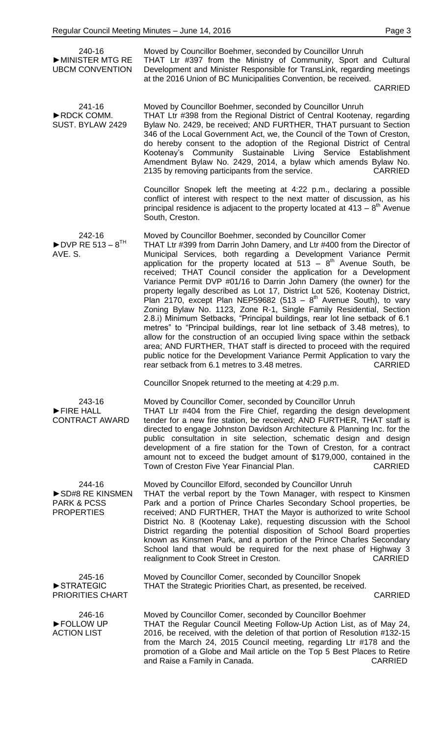| 240-16<br>MINISTER MTG RE<br><b>UBCM CONVENTION</b>                      | Moved by Councillor Boehmer, seconded by Councillor Unruh<br>THAT Ltr #397 from the Ministry of Community, Sport and Cultural<br>Development and Minister Responsible for TransLink, regarding meetings<br>at the 2016 Union of BC Municipalities Convention, be received.<br><b>CARRIED</b>                                                                                                                                                                                                                                                                                                                                                                                                                                                                                                                                                                                                                                                                                                                                                                                                                                  |
|--------------------------------------------------------------------------|-------------------------------------------------------------------------------------------------------------------------------------------------------------------------------------------------------------------------------------------------------------------------------------------------------------------------------------------------------------------------------------------------------------------------------------------------------------------------------------------------------------------------------------------------------------------------------------------------------------------------------------------------------------------------------------------------------------------------------------------------------------------------------------------------------------------------------------------------------------------------------------------------------------------------------------------------------------------------------------------------------------------------------------------------------------------------------------------------------------------------------|
| 241-16<br>RDCK COMM.<br>SUST. BYLAW 2429                                 | Moved by Councillor Boehmer, seconded by Councillor Unruh<br>THAT Ltr #398 from the Regional District of Central Kootenay, regarding<br>Bylaw No. 2429, be received; AND FURTHER, THAT pursuant to Section<br>346 of the Local Government Act, we, the Council of the Town of Creston,<br>do hereby consent to the adoption of the Regional District of Central<br>Kootenay's Community Sustainable Living Service Establishment<br>Amendment Bylaw No. 2429, 2014, a bylaw which amends Bylaw No.<br>2135 by removing participants from the service.<br><b>CARRIED</b>                                                                                                                                                                                                                                                                                                                                                                                                                                                                                                                                                       |
|                                                                          | Councillor Snopek left the meeting at 4:22 p.m., declaring a possible<br>conflict of interest with respect to the next matter of discussion, as his<br>principal residence is adjacent to the property located at $413 - 8th$ Avenue<br>South, Creston.                                                                                                                                                                                                                                                                                                                                                                                                                                                                                                                                                                                                                                                                                                                                                                                                                                                                       |
| 242-16<br>$\blacktriangleright$ DVP RE 513 - 8 <sup>TH</sup><br>AVE. S.  | Moved by Councillor Boehmer, seconded by Councillor Comer<br>THAT Ltr #399 from Darrin John Damery, and Ltr #400 from the Director of<br>Municipal Services, both regarding a Development Variance Permit<br>application for the property located at $513 - 8th$ Avenue South, be<br>received; THAT Council consider the application for a Development<br>Variance Permit DVP #01/16 to Darrin John Damery (the owner) for the<br>property legally described as Lot 17, District Lot 526, Kootenay District,<br>Plan 2170, except Plan NEP59682 (513 – $8th$ Avenue South), to vary<br>Zoning Bylaw No. 1123, Zone R-1, Single Family Residential, Section<br>2.8.i) Minimum Setbacks, "Principal buildings, rear lot line setback of 6.1<br>metres" to "Principal buildings, rear lot line setback of 3.48 metres), to<br>allow for the construction of an occupied living space within the setback<br>area; AND FURTHER, THAT staff is directed to proceed with the required<br>public notice for the Development Variance Permit Application to vary the<br>rear setback from 6.1 metres to 3.48 metres.<br><b>CARRIED</b> |
|                                                                          | Councillor Snopek returned to the meeting at 4:29 p.m.                                                                                                                                                                                                                                                                                                                                                                                                                                                                                                                                                                                                                                                                                                                                                                                                                                                                                                                                                                                                                                                                        |
| 243-16<br>FIRE HALL<br><b>CONTRACT AWARD</b>                             | Moved by Councillor Comer, seconded by Councillor Unruh<br>THAT Ltr #404 from the Fire Chief, regarding the design development<br>tender for a new fire station, be received; AND FURTHER, THAT staff is<br>directed to engage Johnston Davidson Architecture & Planning Inc. for the<br>public consultation in site selection, schematic design and design<br>development of a fire station for the Town of Creston, for a contract<br>amount not to exceed the budget amount of \$179,000, contained in the<br>Town of Creston Five Year Financial Plan.<br><b>CARRIED</b>                                                                                                                                                                                                                                                                                                                                                                                                                                                                                                                                                  |
| 244-16<br>SD#8 RE KINSMEN<br><b>PARK &amp; PCSS</b><br><b>PROPERTIES</b> | Moved by Councillor Elford, seconded by Councillor Unruh<br>THAT the verbal report by the Town Manager, with respect to Kinsmen<br>Park and a portion of Prince Charles Secondary School properties, be<br>received; AND FURTHER, THAT the Mayor is authorized to write School<br>District No. 8 (Kootenay Lake), requesting discussion with the School<br>District regarding the potential disposition of School Board properties<br>known as Kinsmen Park, and a portion of the Prince Charles Secondary<br>School land that would be required for the next phase of Highway 3<br>realignment to Cook Street in Creston.<br><b>CARRIED</b>                                                                                                                                                                                                                                                                                                                                                                                                                                                                                  |
| 245-16<br>STRATEGIC<br><b>PRIORITIES CHART</b>                           | Moved by Councillor Comer, seconded by Councillor Snopek<br>THAT the Strategic Priorities Chart, as presented, be received.<br><b>CARRIED</b>                                                                                                                                                                                                                                                                                                                                                                                                                                                                                                                                                                                                                                                                                                                                                                                                                                                                                                                                                                                 |
| 246-16<br>FOLLOW UP<br><b>ACTION LIST</b>                                | Moved by Councillor Comer, seconded by Councillor Boehmer<br>THAT the Regular Council Meeting Follow-Up Action List, as of May 24,<br>2016, be received, with the deletion of that portion of Resolution #132-15<br>from the March 24, 2015 Council meeting, regarding Ltr #178 and the<br>promotion of a Globe and Mail article on the Top 5 Best Places to Retire<br><b>CARRIED</b><br>and Raise a Family in Canada.                                                                                                                                                                                                                                                                                                                                                                                                                                                                                                                                                                                                                                                                                                        |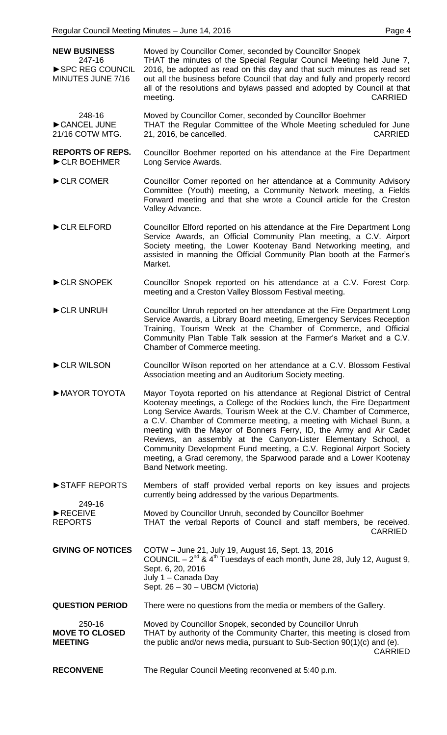| <b>NEW BUSINESS</b><br>247-16<br>SPC REG COUNCIL<br>MINUTES JUNE 7/16 | Moved by Councillor Comer, seconded by Councillor Snopek<br>THAT the minutes of the Special Regular Council Meeting held June 7,<br>2016, be adopted as read on this day and that such minutes as read set<br>out all the business before Council that day and fully and properly record<br>all of the resolutions and bylaws passed and adopted by Council at that<br>meeting.<br><b>CARRIED</b>                                                                                                                                                                                                            |
|-----------------------------------------------------------------------|--------------------------------------------------------------------------------------------------------------------------------------------------------------------------------------------------------------------------------------------------------------------------------------------------------------------------------------------------------------------------------------------------------------------------------------------------------------------------------------------------------------------------------------------------------------------------------------------------------------|
| 248-16<br>CANCEL JUNE<br>21/16 COTW MTG.                              | Moved by Councillor Comer, seconded by Councillor Boehmer<br>THAT the Regular Committee of the Whole Meeting scheduled for June<br>21, 2016, be cancelled.<br><b>CARRIED</b>                                                                                                                                                                                                                                                                                                                                                                                                                                 |
| <b>REPORTS OF REPS.</b><br>CLR BOEHMER                                | Councillor Boehmer reported on his attendance at the Fire Department<br>Long Service Awards.                                                                                                                                                                                                                                                                                                                                                                                                                                                                                                                 |
| CLR COMER                                                             | Councillor Comer reported on her attendance at a Community Advisory<br>Committee (Youth) meeting, a Community Network meeting, a Fields<br>Forward meeting and that she wrote a Council article for the Creston<br>Valley Advance.                                                                                                                                                                                                                                                                                                                                                                           |
| CLR ELFORD                                                            | Councillor Elford reported on his attendance at the Fire Department Long<br>Service Awards, an Official Community Plan meeting, a C.V. Airport<br>Society meeting, the Lower Kootenay Band Networking meeting, and<br>assisted in manning the Official Community Plan booth at the Farmer's<br>Market.                                                                                                                                                                                                                                                                                                       |
| CLR SNOPEK                                                            | Councillor Snopek reported on his attendance at a C.V. Forest Corp.<br>meeting and a Creston Valley Blossom Festival meeting.                                                                                                                                                                                                                                                                                                                                                                                                                                                                                |
| CLR UNRUH                                                             | Councillor Unruh reported on her attendance at the Fire Department Long<br>Service Awards, a Library Board meeting, Emergency Services Reception<br>Training, Tourism Week at the Chamber of Commerce, and Official<br>Community Plan Table Talk session at the Farmer's Market and a C.V.<br>Chamber of Commerce meeting.                                                                                                                                                                                                                                                                                   |
| CLR WILSON                                                            | Councillor Wilson reported on her attendance at a C.V. Blossom Festival<br>Association meeting and an Auditorium Society meeting.                                                                                                                                                                                                                                                                                                                                                                                                                                                                            |
| MAYOR TOYOTA                                                          | Mayor Toyota reported on his attendance at Regional District of Central<br>Kootenay meetings, a College of the Rockies lunch, the Fire Department<br>Long Service Awards, Tourism Week at the C.V. Chamber of Commerce,<br>a C.V. Chamber of Commerce meeting, a meeting with Michael Bunn, a<br>meeting with the Mayor of Bonners Ferry, ID, the Army and Air Cadet<br>Reviews, an assembly at the Canyon-Lister Elementary School, a<br>Community Development Fund meeting, a C.V. Regional Airport Society<br>meeting, a Grad ceremony, the Sparwood parade and a Lower Kootenay<br>Band Network meeting. |
| STAFF REPORTS                                                         | Members of staff provided verbal reports on key issues and projects<br>currently being addressed by the various Departments.                                                                                                                                                                                                                                                                                                                                                                                                                                                                                 |
| 249-16<br>RECEIVE<br><b>REPORTS</b>                                   | Moved by Councillor Unruh, seconded by Councillor Boehmer<br>THAT the verbal Reports of Council and staff members, be received.<br><b>CARRIED</b>                                                                                                                                                                                                                                                                                                                                                                                                                                                            |
| <b>GIVING OF NOTICES</b>                                              | COTW - June 21, July 19, August 16, Sept. 13, 2016<br>COUNCIL $-2^{nd}$ & 4 <sup>th</sup> Tuesdays of each month, June 28, July 12, August 9,<br>Sept. 6, 20, 2016<br>July 1 - Canada Day<br>Sept. 26 - 30 - UBCM (Victoria)                                                                                                                                                                                                                                                                                                                                                                                 |
| <b>QUESTION PERIOD</b>                                                | There were no questions from the media or members of the Gallery.                                                                                                                                                                                                                                                                                                                                                                                                                                                                                                                                            |
| 250-16<br><b>MOVE TO CLOSED</b><br><b>MEETING</b>                     | Moved by Councillor Snopek, seconded by Councillor Unruh<br>THAT by authority of the Community Charter, this meeting is closed from<br>the public and/or news media, pursuant to Sub-Section 90(1)(c) and (e).<br><b>CARRIED</b>                                                                                                                                                                                                                                                                                                                                                                             |
| <b>RECONVENE</b>                                                      | The Regular Council Meeting reconvened at 5:40 p.m.                                                                                                                                                                                                                                                                                                                                                                                                                                                                                                                                                          |